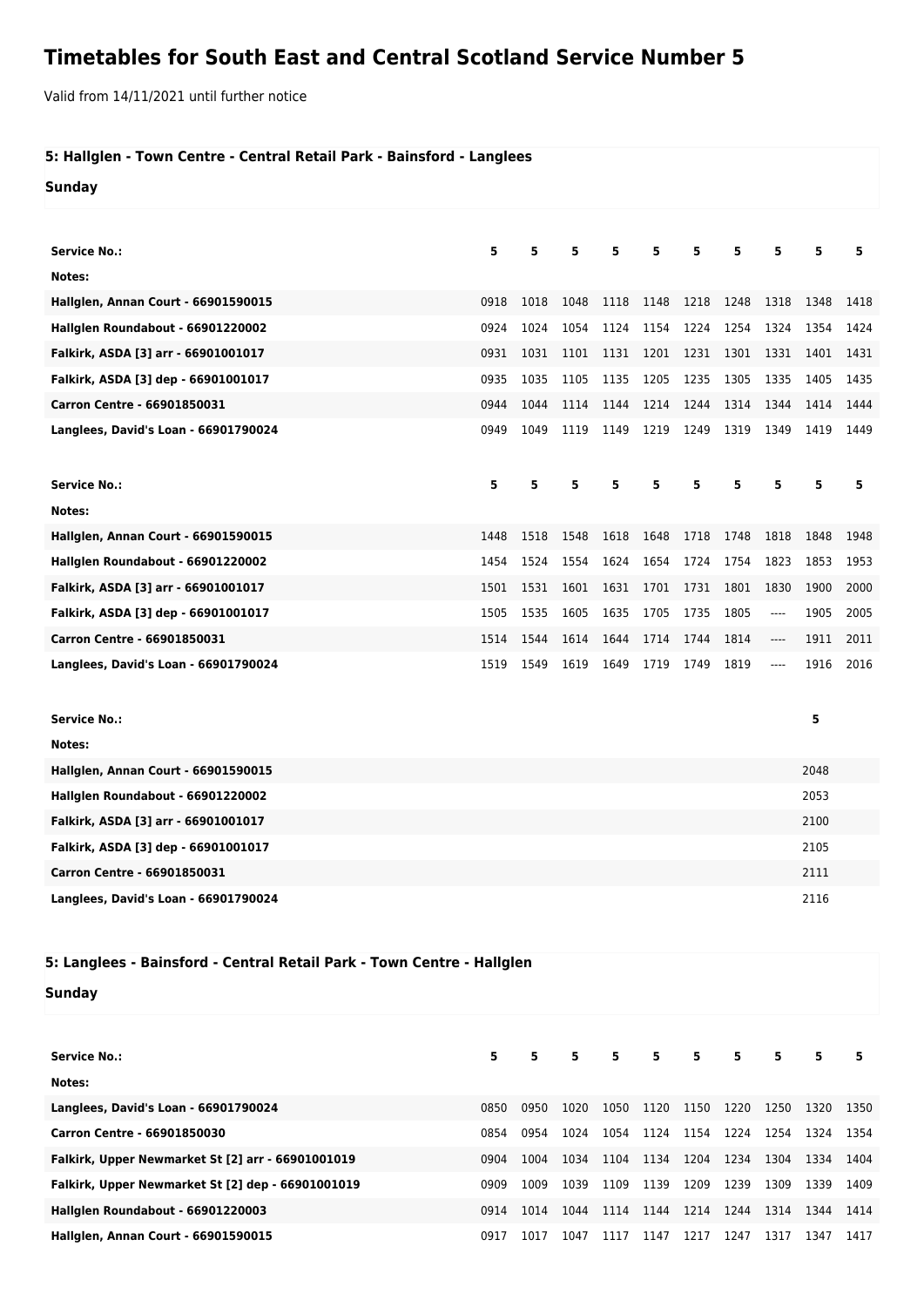## **Timetables for South East and Central Scotland Service Number 5**

Valid from 14/11/2021 until further notice

## **5: Hallglen - Town Centre - Central Retail Park - Bainsford - Langlees**

**Sunday**

| <b>Service No.:</b>                        | 5    | 5    | 5    | 5    | 5    | 5    | 5    | 5                             | 5    | 5    |
|--------------------------------------------|------|------|------|------|------|------|------|-------------------------------|------|------|
| Notes:                                     |      |      |      |      |      |      |      |                               |      |      |
| <b>Hallglen, Annan Court - 66901590015</b> | 0918 | 1018 | 1048 | 1118 | 1148 | 1218 | 1248 | 1318                          | 1348 | 1418 |
| Hallglen Roundabout - 66901220002          | 0924 | 1024 | 1054 | 1124 | 1154 | 1224 | 1254 | 1324                          | 1354 | 1424 |
| Falkirk, ASDA [3] arr - 66901001017        | 0931 | 1031 | 1101 | 1131 | 1201 | 1231 | 1301 | 1331                          | 1401 | 1431 |
| Falkirk, ASDA [3] dep - 66901001017        | 0935 | 1035 | 1105 | 1135 | 1205 | 1235 | 1305 | 1335                          | 1405 | 1435 |
| Carron Centre - 66901850031                | 0944 | 1044 | 1114 | 1144 | 1214 | 1244 | 1314 | 1344                          | 1414 | 1444 |
| Langlees, David's Loan - 66901790024       | 0949 | 1049 | 1119 | 1149 | 1219 | 1249 | 1319 | 1349                          | 1419 | 1449 |
|                                            |      |      |      |      |      |      |      |                               |      |      |
| <b>Service No.:</b>                        | 5    | 5    | 5    | 5    | 5    | 5    | 5    | 5                             | 5    | 5    |
| Notes:                                     |      |      |      |      |      |      |      |                               |      |      |
| Hallglen, Annan Court - 66901590015        | 1448 | 1518 | 1548 | 1618 | 1648 | 1718 | 1748 | 1818                          | 1848 | 1948 |
| Hallglen Roundabout - 66901220002          | 1454 | 1524 | 1554 | 1624 | 1654 | 1724 | 1754 | 1823                          | 1853 | 1953 |
| Falkirk, ASDA [3] arr - 66901001017        | 1501 | 1531 | 1601 | 1631 | 1701 | 1731 | 1801 | 1830                          | 1900 | 2000 |
| Falkirk, ASDA [3] dep - 66901001017        | 1505 | 1535 | 1605 | 1635 | 1705 | 1735 | 1805 | $\hspace{1.5cm} \textbf{---}$ | 1905 | 2005 |
| Carron Centre - 66901850031                | 1514 | 1544 | 1614 | 1644 | 1714 | 1744 | 1814 | ----                          | 1911 | 2011 |
| Langlees, David's Loan - 66901790024       | 1519 | 1549 | 1619 | 1649 | 1719 | 1749 | 1819 | ----                          | 1916 | 2016 |
|                                            |      |      |      |      |      |      |      |                               |      |      |
| <b>Service No.:</b>                        |      |      |      |      |      |      |      |                               | 5    |      |
| Notes:                                     |      |      |      |      |      |      |      |                               |      |      |
| Hallglen, Annan Court - 66901590015        |      |      |      |      |      |      |      |                               | 2048 |      |
| Hallglen Roundabout - 66901220002          |      |      |      |      |      |      |      |                               | 2053 |      |
| Falkirk, ASDA [3] arr - 66901001017        |      |      |      |      |      |      |      |                               | 2100 |      |
| Falkirk, ASDA [3] dep - 66901001017        |      |      |      |      |      |      |      |                               | 2105 |      |
| Carron Centre - 66901850031                |      |      |      |      |      |      |      |                               | 2111 |      |
| Langlees, David's Loan - 66901790024       |      |      |      |      |      |      |      |                               | 2116 |      |

## **5: Langlees - Bainsford - Central Retail Park - Town Centre - Hallglen**

## **Sunday**

| <b>Service No.:</b>                               | 5.   | 5.   | 5    | 5    | 5 <sub>1</sub> | 5    | 5.   | 5.   | 5    | 5    |
|---------------------------------------------------|------|------|------|------|----------------|------|------|------|------|------|
| Notes:                                            |      |      |      |      |                |      |      |      |      |      |
| Langlees, David's Loan - 66901790024              | 0850 | 0950 | 1020 | 1050 | 1120           | 1150 | 1220 | 1250 | 1320 | 1350 |
| Carron Centre - 66901850030                       | 0854 | 0954 | 1024 | 1054 | 1124           | 1154 | 1224 | 1254 | 1324 | 1354 |
| Falkirk, Upper Newmarket St [2] arr - 66901001019 | 0904 | 1004 | 1034 | 1104 | 1134           | 1204 | 1234 | 1304 | 1334 | 1404 |
| Falkirk, Upper Newmarket St [2] dep - 66901001019 | 0909 | 1009 | 1039 | 1109 | 1139           | 1209 | 1239 | 1309 | 1339 | 1409 |
| Hallglen Roundabout - 66901220003                 | 0914 | 1014 | 1044 | 1114 | 1144           | 1214 | 1244 | 1314 | 1344 | 1414 |
| <b>Hallglen, Annan Court - 66901590015</b>        | 0917 | 1017 | 1047 | 1117 | 1147           | 1217 | 1247 | 1317 | 1347 | 1417 |